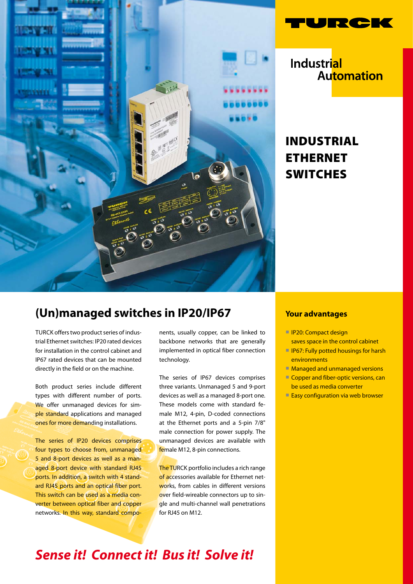



**Industrial** Automation

# Industrial **ETHERNET SWITCHES**

### **(Un)managed switches in IP20/IP67**

TURCK offers two product series of industrial Ethernet switches: IP20 rated devices for installation in the control cabinet and IP67 rated devices that can be mounted directly in the field or on the machine.

Both product series include different types with different number of ports. We offer unmanaged devices for simple standard applications and managed ones for more demanding installations.

The series of IP20 devices comprises four types to choose from, unmanaged 5 and 8-port devices as well as a managed 8-port device with standard RJ45 ports. In addition, a switch with 4 standard RJ45 ports and an optical fiber port. This switch can be used as a media converter between optical fiber and copper networks. In this way, standard components, usually copper, can be linked to backbone networks that are generally implemented in optical fiber connection technology.

The series of IP67 devices comprises three variants. Unmanaged 5 and 9-port devices as well as a managed 8-port one. These models come with standard female M12, 4-pin, D-coded connections at the Ethernet ports and a 5-pin 7/8" male connection for power supply. The unmanaged devices are available with female M12, 8-pin connections.

The TURCK portfolio includes a rich range of accessories available for Ethernet networks, from cables in different versions over field-wireable connectors up to single and multi-channel wall penetrations for RJ45 on M12.

#### **Your advantages**

- **IP20: Compact design**
- saves space in the control cabinet
- IP67: Fully potted housings for harsh environments
- Managed and unmanaged versions
- Copper and fiber-optic versions, can be used as media converter
- Easy configuration via web browser

# *Sense it! Connect it! Bus it! Solve it!*